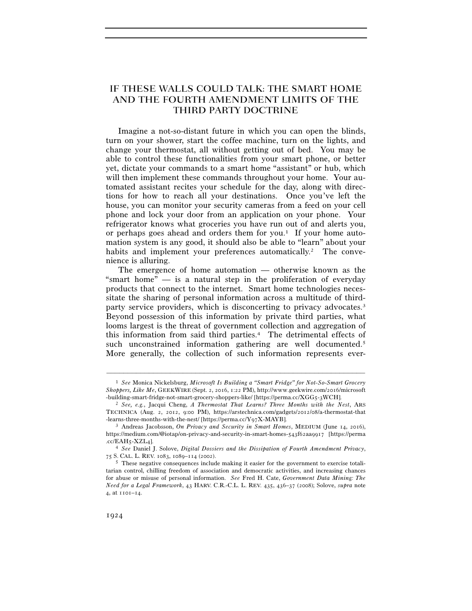# IF THESE WALLS COULD TALK: THE SMART HOME AND THE FOURTH AMENDMENT LIMITS OF THE THIRD PARTY DOCTRINE

Imagine a not-so-distant future in which you can open the blinds, turn on your shower, start the coffee machine, turn on the lights, and change your thermostat, all without getting out of bed. You may be able to control these functionalities from your smart phone, or better yet, dictate your commands to a smart home "assistant" or hub, which will then implement these commands throughout your home. Your automated assistant recites your schedule for the day, along with directions for how to reach all your destinations. Once you've left the house, you can monitor your security cameras from a feed on your cell phone and lock your door from an application on your phone. Your refrigerator knows what groceries you have run out of and alerts you, or perhaps goes ahead and orders them for you.<sup>1</sup> If your home automation system is any good, it should also be able to "learn" about your habits and implement your preferences automatically.<sup>2</sup> The convenience is alluring.

The emergence of home automation — otherwise known as the "smart home"  $\equiv$  is a natural step in the proliferation of everyday products that connect to the internet. Smart home technologies necessitate the sharing of personal information across a multitude of thirdparty service providers, which is disconcerting to privacy advocates.3 Beyond possession of this information by private third parties, what looms largest is the threat of government collection and aggregation of this information from said third parties.4 The detrimental effects of such unconstrained information gathering are well documented.<sup>5</sup> More generally, the collection of such information represents ever-

<sup>1</sup> *See* Monica Nickelsburg, *Microsoft Is Building a "Smart Fridge" for Not-So-Smart Grocery Shoppers, Like Me*, GEEKWIRE (Sept. 2, 2016, 1:22 PM), http://www.geekwire.com/2016/microsoft -building-smart-fridge-not-smart-grocery-shoppers-like/ [https://perma.cc/XGG5-3WCH].<br><sup>2</sup> See, e.g., Jacqui Cheng, *A Thermostat That Learns? Three Months with the Nest*, ARS

TECHNICA (Aug. 2, 2012, 9:00 PM), https://arstechnica.com/gadgets/2012/08/a-thermostat-that

<sup>&</sup>lt;sup>3</sup> Andreas Jacobsson, *On Privacy and Security in Smart Homes*, MEDIUM (June 14, 2016), https://medium.com/@iotap/on-privacy-and-security-in-smart-homes-543f62aa9917 [https://perma .cc/EAH5-XZL4]. 4 *See* Daniel J. Solove, *Digital Dossiers and the Dissipation of Fourth Amendment Privacy*,

<sup>75</sup> S. CAL. L. REV. 1083, 1089–114 (2002). 5 These negative consequences include making it easier for the government to exercise totali-

tarian control, chilling freedom of association and democratic activities, and increasing chances for abuse or misuse of personal information. *See* Fred H. Cate, *Government Data Mining: The Need for a Legal Framework*, 43 HARV. C.R.-C.L. L. REV. 435, 436–37 (2008); Solove, *supra* note 4, at 1101–14.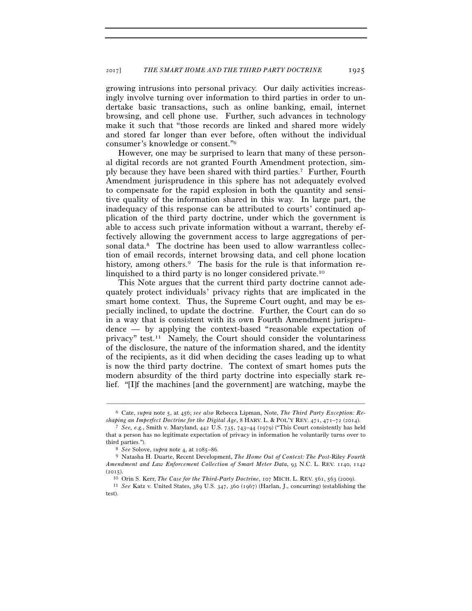growing intrusions into personal privacy. Our daily activities increasingly involve turning over information to third parties in order to undertake basic transactions, such as online banking, email, internet browsing, and cell phone use. Further, such advances in technology make it such that "those records are linked and shared more widely and stored far longer than ever before, often without the individual consumer's knowledge or consent."6

However, one may be surprised to learn that many of these personal digital records are not granted Fourth Amendment protection, simply because they have been shared with third parties.7 Further, Fourth Amendment jurisprudence in this sphere has not adequately evolved to compensate for the rapid explosion in both the quantity and sensitive quality of the information shared in this way. In large part, the inadequacy of this response can be attributed to courts' continued application of the third party doctrine, under which the government is able to access such private information without a warrant, thereby effectively allowing the government access to large aggregations of personal data.<sup>8</sup> The doctrine has been used to allow warrantless collection of email records, internet browsing data, and cell phone location history, among others.<sup>9</sup> The basis for the rule is that information relinquished to a third party is no longer considered private.10

This Note argues that the current third party doctrine cannot adequately protect individuals' privacy rights that are implicated in the smart home context. Thus, the Supreme Court ought, and may be especially inclined, to update the doctrine. Further, the Court can do so in a way that is consistent with its own Fourth Amendment jurisprudence — by applying the context-based "reasonable expectation of privacy" test.11 Namely, the Court should consider the voluntariness of the disclosure, the nature of the information shared, and the identity of the recipients, as it did when deciding the cases leading up to what is now the third party doctrine. The context of smart homes puts the modern absurdity of the third party doctrine into especially stark relief. "[I]f the machines [and the government] are watching, maybe the

<sup>–––––––––––––––––––––––––––––––––––––––––––––––––––––––––––––</sup> 6 Cate, *supra* note 5, at 456; *see also* Rebecca Lipman, Note, *The Third Party Exception: Reshaping an Imperfect Doctrine for the Digital Age*, <sup>8</sup> HARV. L. & POL'Y REV. <sup>471</sup>, 471–72 (2014). 7 *See, e.g.*, Smith v. Maryland, 442 U.S. 735, 743–44 (1979) ("This Court consistently has held

that a person has no legitimate expectation of privacy in information he voluntarily turns over to third parties."). 8 *See* Solove, *supra* note 4, at 1085–86. 9 Natasha H. Duarte, Recent Development, *The Home Out of Context: The Post-*Riley *Fourth* 

*Amendment and Law Enforcement Collection of Smart Meter Data*, 93 N.C. L. REV. 1140, 1142

<sup>(</sup>2015). 10 Orin S. Kerr, *The Case for the Third-Party Doctrine*, 107 MICH. L. REV. 561, 563 (2009). 11 *See* Katz v. United States, 389 U.S. 347, 360 (1967) (Harlan, J., concurring) (establishing the

test).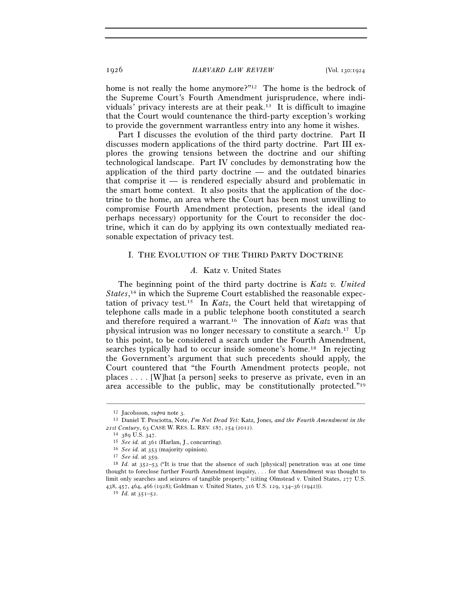home is not really the home anymore?"<sup>12</sup> The home is the bedrock of the Supreme Court's Fourth Amendment jurisprudence, where individuals' privacy interests are at their peak.13 It is difficult to imagine that the Court would countenance the third-party exception's working to provide the government warrantless entry into any home it wishes.

Part I discusses the evolution of the third party doctrine. Part II discusses modern applications of the third party doctrine. Part III explores the growing tensions between the doctrine and our shifting technological landscape. Part IV concludes by demonstrating how the application of the third party doctrine — and the outdated binaries that comprise it  $-$  is rendered especially absurd and problematic in the smart home context. It also posits that the application of the doctrine to the home, an area where the Court has been most unwilling to compromise Fourth Amendment protection, presents the ideal (and perhaps necessary) opportunity for the Court to reconsider the doctrine, which it can do by applying its own contextually mediated reasonable expectation of privacy test.

# I. THE EVOLUTION OF THE THIRD PARTY DOCTRINE

### *A.* Katz v. United States

The beginning point of the third party doctrine is *Katz v. United*  States,<sup>14</sup> in which the Supreme Court established the reasonable expectation of privacy test.15 In *Katz*, the Court held that wiretapping of telephone calls made in a public telephone booth constituted a search and therefore required a warrant.16 The innovation of *Katz* was that physical intrusion was no longer necessary to constitute a search.17 Up to this point, to be considered a search under the Fourth Amendment, searches typically had to occur inside someone's home.18 In rejecting the Government's argument that such precedents should apply, the Court countered that "the Fourth Amendment protects people, not places . . . . [W]hat [a person] seeks to preserve as private, even in an area accessible to the public, may be constitutionally protected."19

<sup>12</sup> Jacobsson, *supra* note 3. 13 Daniel T. Pesciotta, Note, *I'm Not Dead Yet:* Katz*,* Jones*, and the Fourth Amendment in the*  21st Century, 63 CASE W. RES. L. REV. 187, 254 (2012).<br>
<sup>14</sup> 389 U.S. 347.<br>
<sup>15</sup> *See id.* at 361 (Harlan, J., concurring).<br>
<sup>16</sup> *See id.* at 353 (majority opinion).<br>
<sup>17</sup> *See id.* at 359.<br>
<sup>18</sup> *Id.* at 352-53 ("It is

thought to foreclose further Fourth Amendment inquiry, . . . for that Amendment was thought to limit only searches and seizures of tangible property." (citing Olmstead v. United States, 277 U.S. <sup>438</sup>, 457, 464, 466 (1928); Goldman v. United States, 316 U.S. 129, 134–36 (1942))). 19 *Id.* at 351–52.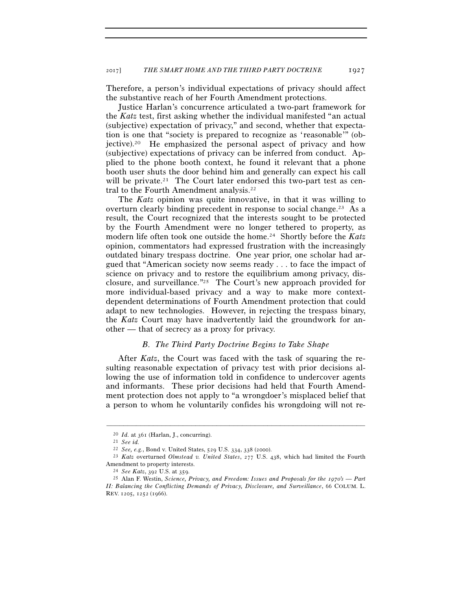Therefore, a person's individual expectations of privacy should affect the substantive reach of her Fourth Amendment protections.

Justice Harlan's concurrence articulated a two-part framework for the *Katz* test, first asking whether the individual manifested "an actual (subjective) expectation of privacy," and second, whether that expectation is one that "society is prepared to recognize as 'reasonable'" (objective).20 He emphasized the personal aspect of privacy and how (subjective) expectations of privacy can be inferred from conduct. Applied to the phone booth context, he found it relevant that a phone booth user shuts the door behind him and generally can expect his call will be private.<sup>21</sup> The Court later endorsed this two-part test as central to the Fourth Amendment analysis.<sup>22</sup>

The *Katz* opinion was quite innovative, in that it was willing to overturn clearly binding precedent in response to social change.<sup>23</sup> As a result, the Court recognized that the interests sought to be protected by the Fourth Amendment were no longer tethered to property, as modern life often took one outside the home.24 Shortly before the *Katz* opinion, commentators had expressed frustration with the increasingly outdated binary trespass doctrine. One year prior, one scholar had argued that "American society now seems ready . . . to face the impact of science on privacy and to restore the equilibrium among privacy, disclosure, and surveillance."25 The Court's new approach provided for more individual-based privacy and a way to make more contextdependent determinations of Fourth Amendment protection that could adapt to new technologies. However, in rejecting the trespass binary, the *Katz* Court may have inadvertently laid the groundwork for another — that of secrecy as a proxy for privacy.

# *B. The Third Party Doctrine Begins to Take Shape*

After *Katz*, the Court was faced with the task of squaring the resulting reasonable expectation of privacy test with prior decisions allowing the use of information told in confidence to undercover agents and informants. These prior decisions had held that Fourth Amendment protection does not apply to "a wrongdoer's misplaced belief that a person to whom he voluntarily confides his wrongdoing will not re-

<sup>20</sup> *Id.* at 361 (Harlan, J., concurring). 21 *See id.*

<sup>&</sup>lt;sup>23</sup> *Katz* overturned *Olmstead v. United States*, 277 U.S. 438, which had limited the Fourth Amendment to property interests. 24 *See Katz*, 392 U.S. at 359. 25 Alan F. Westin, *Science, Privacy, and Freedom: Issues and Proposals for the 1970's — Part* 

*II: Balancing the Conflicting Demands of Privacy, Disclosure, and Surveillance*, 66 COLUM. L. REV. 1205, 1252 (1966).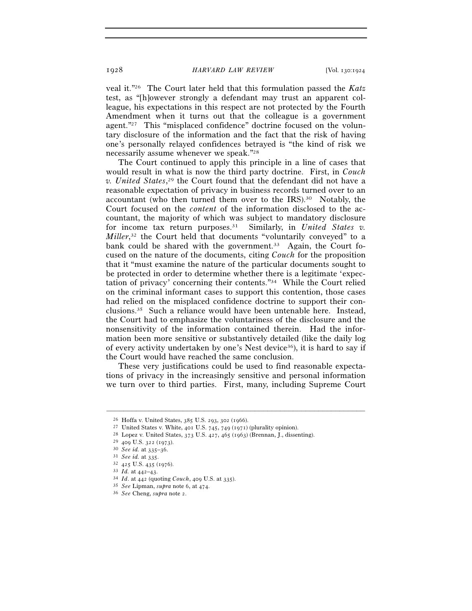veal it."26 The Court later held that this formulation passed the *Katz* test, as "[h]owever strongly a defendant may trust an apparent colleague, his expectations in this respect are not protected by the Fourth Amendment when it turns out that the colleague is a government agent."<sup>27</sup> This "misplaced confidence" doctrine focused on the voluntary disclosure of the information and the fact that the risk of having one's personally relayed confidences betrayed is "the kind of risk we necessarily assume whenever we speak."28

The Court continued to apply this principle in a line of cases that would result in what is now the third party doctrine. First, in *Couch v. United States*, 29 the Court found that the defendant did not have a reasonable expectation of privacy in business records turned over to an accountant (who then turned them over to the IRS).30 Notably, the Court focused on the *content* of the information disclosed to the accountant, the majority of which was subject to mandatory disclosure for income tax return purposes.31 Similarly, in *United States v. Miller*, 32 the Court held that documents "voluntarily conveyed" to a bank could be shared with the government.<sup>33</sup> Again, the Court focused on the nature of the documents, citing *Couch* for the proposition that it "must examine the nature of the particular documents sought to be protected in order to determine whether there is a legitimate 'expectation of privacy' concerning their contents."34 While the Court relied on the criminal informant cases to support this contention, those cases had relied on the misplaced confidence doctrine to support their conclusions.35 Such a reliance would have been untenable here. Instead, the Court had to emphasize the voluntariness of the disclosure and the nonsensitivity of the information contained therein. Had the information been more sensitive or substantively detailed (like the daily log of every activity undertaken by one's Nest device36), it is hard to say if the Court would have reached the same conclusion.

These very justifications could be used to find reasonable expectations of privacy in the increasingly sensitive and personal information we turn over to third parties. First, many, including Supreme Court

<sup>&</sup>lt;sup>26</sup> Hoffa v. United States, 385 U.S. 293, 302 (1966).<br>
<sup>27</sup> United States v. White, 401 U.S. 745, 749 (1971) (plurality opinion).<br>
<sup>28</sup> Lopez v. United States, 373 U.S. 427, 465 (1963) (Brennan, J., dissenting).<br>
<sup>29</sup> 40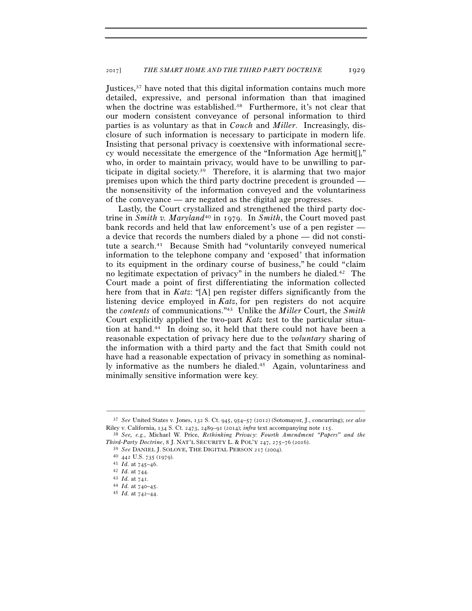Justices,<sup>37</sup> have noted that this digital information contains much more detailed, expressive, and personal information than that imagined when the doctrine was established.<sup>38</sup> Furthermore, it's not clear that our modern consistent conveyance of personal information to third parties is as voluntary as that in *Couch* and *Miller*. Increasingly, disclosure of such information is necessary to participate in modern life. Insisting that personal privacy is coextensive with informational secrecy would necessitate the emergence of the "Information Age hermit[]," who, in order to maintain privacy, would have to be unwilling to participate in digital society.39 Therefore, it is alarming that two major premises upon which the third party doctrine precedent is grounded the nonsensitivity of the information conveyed and the voluntariness of the conveyance — are negated as the digital age progresses.

Lastly, the Court crystallized and strengthened the third party doctrine in *Smith v. Maryland*40 in 1979. In *Smith*, the Court moved past bank records and held that law enforcement's use of a pen register a device that records the numbers dialed by a phone — did not constitute a search.41 Because Smith had "voluntarily conveyed numerical information to the telephone company and 'exposed' that information to its equipment in the ordinary course of business," he could "claim no legitimate expectation of privacy" in the numbers he dialed.42 The Court made a point of first differentiating the information collected here from that in *Katz*: "[A] pen register differs significantly from the listening device employed in *Katz*, for pen registers do not acquire the *contents* of communications."43 Unlike the *Miller* Court, the *Smith* Court explicitly applied the two-part *Katz* test to the particular situation at hand.44 In doing so, it held that there could not have been a reasonable expectation of privacy here due to the *voluntary* sharing of the information with a third party and the fact that Smith could not have had a reasonable expectation of privacy in something as nominally informative as the numbers he dialed.45 Again, voluntariness and minimally sensitive information were key.

<sup>–––––––––––––––––––––––––––––––––––––––––––––––––––––––––––––</sup> 37 *See* United States v. Jones, 132 S. Ct. 945, 954–57 (2012) (Sotomayor, J., concurring); *see also* Riley v. California, 134 S. Ct. 2473, 2489–91 (2014); *infra* text accompanying note 115. 38 *See, e.g.*, Michael W. Price, *Rethinking Privacy: Fourth Amendment "Papers" and the* 

Third-Party Doctrine, 8 J. NAT'L SECURITY L. & POL'Y 247, 275–76 (2016).<br>
<sup>39</sup> See DANIEL J. SOLOVE, THE DIGITAL PERSON 217 (2004).<br>
<sup>40</sup> 442 U.S. 735 (1979).<br>
<sup>41</sup> Id. at 745–46.<br>
<sup>42</sup> Id. at 744.<br>
<sup>43</sup> Id. at 741.<br>
<sup>44</sup>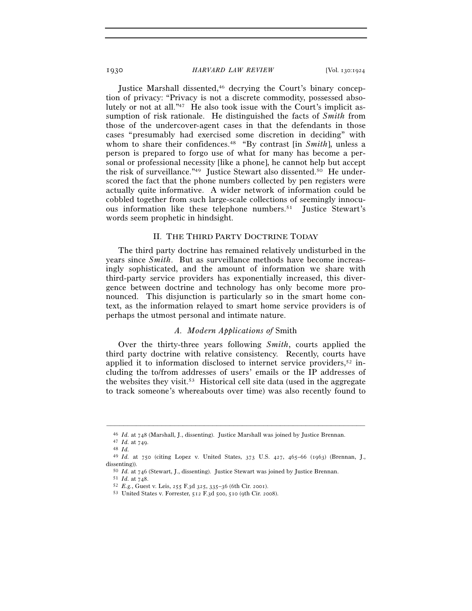Justice Marshall dissented,46 decrying the Court's binary conception of privacy: "Privacy is not a discrete commodity, possessed absolutely or not at all."47 He also took issue with the Court's implicit assumption of risk rationale. He distinguished the facts of *Smith* from those of the undercover-agent cases in that the defendants in those cases "presumably had exercised some discretion in deciding" with whom to share their confidences.48 "By contrast [in *Smith*], unless a person is prepared to forgo use of what for many has become a personal or professional necessity [like a phone], he cannot help but accept the risk of surveillance."49 Justice Stewart also dissented.50 He underscored the fact that the phone numbers collected by pen registers were actually quite informative. A wider network of information could be cobbled together from such large-scale collections of seemingly innocuous information like these telephone numbers.51 Justice Stewart's words seem prophetic in hindsight.

### II. THE THIRD PARTY DOCTRINE TODAY

The third party doctrine has remained relatively undisturbed in the years since *Smith*. But as surveillance methods have become increasingly sophisticated, and the amount of information we share with third-party service providers has exponentially increased, this divergence between doctrine and technology has only become more pronounced. This disjunction is particularly so in the smart home context, as the information relayed to smart home service providers is of perhaps the utmost personal and intimate nature.

# *A. Modern Applications of* Smith

Over the thirty-three years following *Smith*, courts applied the third party doctrine with relative consistency. Recently, courts have applied it to information disclosed to internet service providers,<sup>52</sup> including the to/from addresses of users' emails or the IP addresses of the websites they visit.53 Historical cell site data (used in the aggregate to track someone's whereabouts over time) was also recently found to

<sup>46</sup> *Id.* at 748 (Marshall, J., dissenting). Justice Marshall was joined by Justice Brennan. 47 *Id.* at 749.

<sup>48</sup> *Id.* 49 *Id.* at 750 (citing Lopez v. United States, 373 U.S. 427, 465–66 (1963) (Brennan, J., dissenting)).<br>
<sup>50</sup> *Id.* at 746 (Stewart, J., dissenting). Justice Stewart was joined by Justice Brennan.<br>
<sup>51</sup> *Id.* at 748.<br>
<sup>52</sup> *E.g.*, Guest v. Leis, 255 F.3d 325, 335–36 (6th Cir. 2001).<br>
<sup>53</sup> United States v. Forr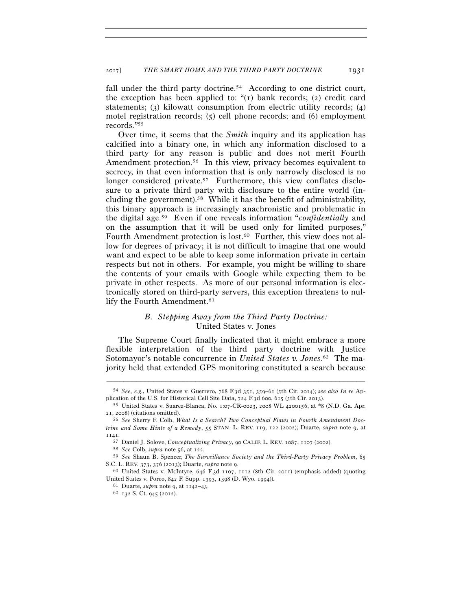fall under the third party doctrine.<sup>54</sup> According to one district court, the exception has been applied to:  $\lq(1)$  bank records; (2) credit card statements; (3) kilowatt consumption from electric utility records; (4) motel registration records; (5) cell phone records; and (6) employment records."55

Over time, it seems that the *Smith* inquiry and its application has calcified into a binary one, in which any information disclosed to a third party for any reason is public and does not merit Fourth Amendment protection.<sup>56</sup> In this view, privacy becomes equivalent to secrecy, in that even information that is only narrowly disclosed is no longer considered private.<sup>57</sup> Furthermore, this view conflates disclosure to a private third party with disclosure to the entire world (including the government).58 While it has the benefit of administrability, this binary approach is increasingly anachronistic and problematic in the digital age.59 Even if one reveals information "*confidentially* and on the assumption that it will be used only for limited purposes," Fourth Amendment protection is lost.<sup>60</sup> Further, this view does not allow for degrees of privacy; it is not difficult to imagine that one would want and expect to be able to keep some information private in certain respects but not in others. For example, you might be willing to share the contents of your emails with Google while expecting them to be private in other respects. As more of our personal information is electronically stored on third-party servers, this exception threatens to nullify the Fourth Amendment.<sup>61</sup>

# *B. Stepping Away from the Third Party Doctrine:*  United States v. Jones

The Supreme Court finally indicated that it might embrace a more flexible interpretation of the third party doctrine with Justice Sotomayor's notable concurrence in *United States v. Jones*. 62 The majority held that extended GPS monitoring constituted a search because

<sup>–––––––––––––––––––––––––––––––––––––––––––––––––––––––––––––</sup> 54 *See, e.g.*, United States v. Guerrero, 768 F.3d 351, 359–61 (5th Cir. 2014); *see also In re* Application of the U.S. for Historical Cell Site Data, 724 F.3d 600, 615 (5th Cir. 2013). 55 United States v. Suarez-Blanca, No. 1:07-CR-0023, 2008 WL 4200156, at \*8 (N.D. Ga. Apr.

<sup>21</sup>, 2008) (citations omitted). 56 *See* Sherry F. Colb, *What Is a Search? Two Conceptual Flaws in Fourth Amendment Doc-*

*trine and Some Hints of a Remedy*, 55 STAN. L. REV. 119, 122 (2002); Duarte, *supra* note 9, at 1141.<br>57 Daniel J. Solove, Conceptualizing Privacy, 90 CALIF. L. REV. 1087, 1107 (2002).

<sup>&</sup>lt;sup>58</sup> See Colb, supra note 56, at  $122$ .<br><sup>59</sup> See Shaun B. Spencer, *The Surveillance Society and the Third-Party Privacy Problem*, 65 S.C. L. REV. 373, 376 (2013); Duarte, *supra* note 9.<br><sup>60</sup> United States v. McIntyre, 646 F.3d 1107, 1112 (8th Cir. 2011) (emphasis added) (quoting

United States v. Porco, 842 F. Supp. 1393, 1398 (D. Wyo. 1994)). 61 Duarte, *supra* note 9, at 1142–43. 62 <sup>132</sup> S. Ct. 945 (2012).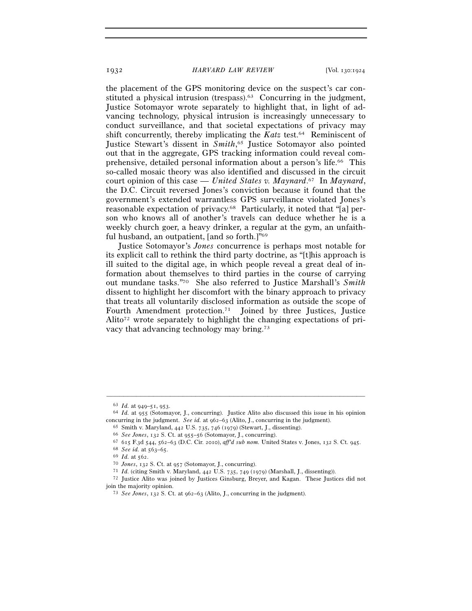the placement of the GPS monitoring device on the suspect's car constituted a physical intrusion (trespass).<sup>63</sup> Concurring in the judgment, Justice Sotomayor wrote separately to highlight that, in light of advancing technology, physical intrusion is increasingly unnecessary to conduct surveillance, and that societal expectations of privacy may shift concurrently, thereby implicating the *Katz* test.64 Reminiscent of Justice Stewart's dissent in *Smith*, 65 Justice Sotomayor also pointed out that in the aggregate, GPS tracking information could reveal comprehensive, detailed personal information about a person's life.66 This so-called mosaic theory was also identified and discussed in the circuit court opinion of this case — *United States v. Maynard*. 67 In *Maynard*, the D.C. Circuit reversed Jones's conviction because it found that the government's extended warrantless GPS surveillance violated Jones's reasonable expectation of privacy.68 Particularly, it noted that "[a] person who knows all of another's travels can deduce whether he is a weekly church goer, a heavy drinker, a regular at the gym, an unfaithful husband, an outpatient, [and so forth.]"69

Justice Sotomayor's *Jones* concurrence is perhaps most notable for its explicit call to rethink the third party doctrine, as "[t]his approach is ill suited to the digital age, in which people reveal a great deal of information about themselves to third parties in the course of carrying out mundane tasks."70 She also referred to Justice Marshall's *Smith* dissent to highlight her discomfort with the binary approach to privacy that treats all voluntarily disclosed information as outside the scope of Fourth Amendment protection.71 Joined by three Justices, Justice Alito<sup>72</sup> wrote separately to highlight the changing expectations of privacy that advancing technology may bring.73

<sup>63</sup> *Id.* at 949–51, 953. 64 *Id.* at 955 (Sotomayor, J., concurring). Justice Alito also discussed this issue in his opinion concurring in the judgment. *See id.* at 962–63 (Alito, J., concurring in the judgment).<br>
<sup>65</sup> Smith v. Maryland, 442 U.S. 735, 746 (1979) (Stewart, J., dissenting).<br>
<sup>66</sup> See Jones, 132 S. Ct. at 955–56 (Sotomayor, J., c

join the majority opinion. 73 *See Jones*, 132 S. Ct. at 962–63 (Alito, J., concurring in the judgment).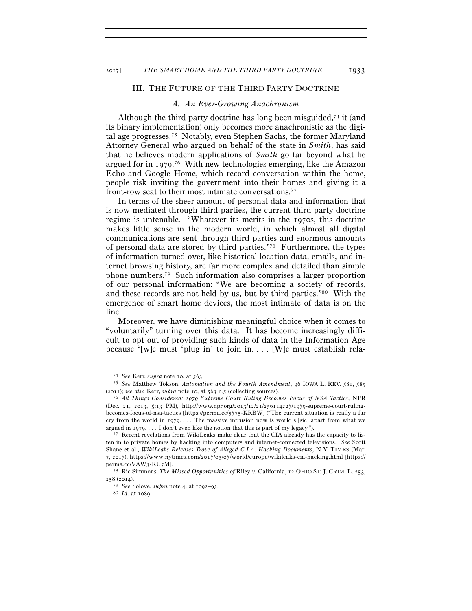### III. THE FUTURE OF THE THIRD PARTY DOCTRINE

### *A. An Ever-Growing Anachronism*

Although the third party doctrine has long been misguided,<sup> $74$ </sup> it (and its binary implementation) only becomes more anachronistic as the digital age progresses.75 Notably, even Stephen Sachs, the former Maryland Attorney General who argued on behalf of the state in *Smith*, has said that he believes modern applications of *Smith* go far beyond what he argued for in 1979. 76 With new technologies emerging, like the Amazon Echo and Google Home, which record conversation within the home, people risk inviting the government into their homes and giving it a front-row seat to their most intimate conversations.77

In terms of the sheer amount of personal data and information that is now mediated through third parties, the current third party doctrine regime is untenable. "Whatever its merits in the 1970s, this doctrine makes little sense in the modern world, in which almost all digital communications are sent through third parties and enormous amounts of personal data are stored by third parties."78 Furthermore, the types of information turned over, like historical location data, emails, and internet browsing history, are far more complex and detailed than simple phone numbers.79 Such information also comprises a larger proportion of our personal information: "We are becoming a society of records, and these records are not held by us, but by third parties."80 With the emergence of smart home devices, the most intimate of data is on the line.

Moreover, we have diminishing meaningful choice when it comes to "voluntarily" turning over this data. It has become increasingly difficult to opt out of providing such kinds of data in the Information Age because "[w]e must 'plug in' to join in. . . . [W]e must establish rela-

<sup>74</sup> *See* Kerr, *supra* note 10, at 563. 75 *See* Matthew Tokson, *Automation and the Fourth Amendment*, 96 IOWA L. REV. 581, 585 (2011); *see also* Kerr, *supra* note 10, at 563 n.5 (collecting sources). 76 *All Things Considered: 1979 Supreme Court Ruling Becomes Focus of NSA Tactics*, NPR

<sup>(</sup>Dec. 21, 2013, 5:13 PM), http://www.npr.org/2013/12/21/256114227/1979-supreme-court-rulingbecomes-focus-of-nsa-tactics [https://perma.cc/5775-KRBW] ("The current situation is really a far cry from the world in 1979. . . . The massive intrusion now is world's [sic] apart from what we argued in 1979. . . . I don't even like the notion that this is part of my legacy.").<br><sup>77</sup> Recent revelations from WikiLeaks make clear that the CIA already has the capacity to lis-

ten in to private homes by hacking into computers and internet-connected televisions. *See* Scott Shane et al., *WikiLeaks Releases Trove of Alleged C.I.A. Hacking Documents*, N.Y. TIMES (Mar. 7, 2017), https://www.nytimes.com/2017/03/07/world/europe/wikileaks-cia-hacking.html [https:// perma.cc/VAW<sub>3</sub>-RU<sub>7</sub>M].<br><sup>78</sup> Ric Simmons, *The Missed Opportunities of* Riley v. California, 12 OHIO ST. J. CRIM. L. 253,

<sup>258</sup> (2014).

<sup>79</sup> *See* Solove, *supra* note 4, at 1092–93. 80 *Id.* at 1089.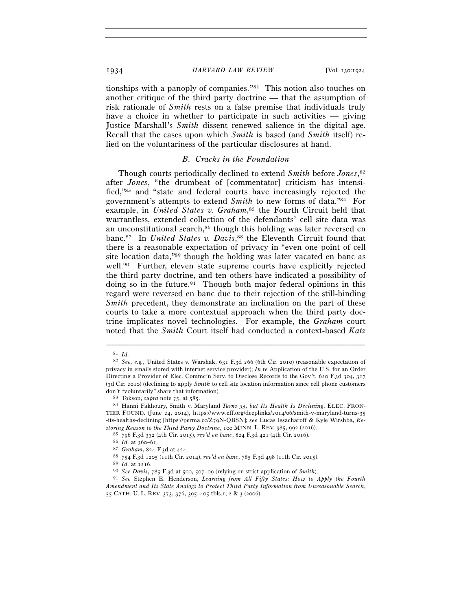tionships with a panoply of companies."81 This notion also touches on another critique of the third party doctrine — that the assumption of risk rationale of *Smith* rests on a false premise that individuals truly have a choice in whether to participate in such activities — giving Justice Marshall's *Smith* dissent renewed salience in the digital age. Recall that the cases upon which *Smith* is based (and *Smith* itself) relied on the voluntariness of the particular disclosures at hand.

### *B. Cracks in the Foundation*

Though courts periodically declined to extend *Smith* before *Jones*, 82 after *Jones*, "the drumbeat of [commentator] criticism has intensified,"83 and "state and federal courts have increasingly rejected the government's attempts to extend *Smith* to new forms of data."84 For example, in *United States v. Graham*,<sup>85</sup> the Fourth Circuit held that warrantless, extended collection of the defendants' cell site data was an unconstitutional search,<sup>86</sup> though this holding was later reversed en banc.87 In *United States v. Davis*, 88 the Eleventh Circuit found that there is a reasonable expectation of privacy in "even one point of cell site location data,"89 though the holding was later vacated en banc as well.90 Further, eleven state supreme courts have explicitly rejected the third party doctrine, and ten others have indicated a possibility of doing so in the future.<sup>91</sup> Though both major federal opinions in this regard were reversed en banc due to their rejection of the still-binding *Smith* precedent, they demonstrate an inclination on the part of these courts to take a more contextual approach when the third party doctrine implicates novel technologies. For example, the *Graham* court noted that the *Smith* Court itself had conducted a context-based *Katz*

<sup>81</sup> *Id.* 82 *See, e.g.*, United States v. Warshak, 631 F.3d 266 (6th Cir. 2010) (reasonable expectation of privacy in emails stored with internet service provider); *In re* Application of the U.S. for an Order Directing a Provider of Elec. Commc'n Serv. to Disclose Records to the Gov't, 620 F.3d 304, 317 (3d Cir. 2010) (declining to apply *Smith* to cell site location information since cell phone customers don't "voluntarily" share that information).

don't "voluntarily" share that information). 83 Tokson, *supra* note 75, at 585. 84 Hanni Fakhoury, Smith v. Maryland *Turns 35, but Its Health Is Declining*, ELEC. FRON-TIER FOUND. (June 24, 2014), https://www.eff.org/deeplinks/2014/06/smith-v-maryland-turns-35 -its-healths-declining [https://perma.cc/Z79N-QBSN]; *see* Lucas Issacharoff & Kyle Wirshba, *Re*storing Reason to the Third Party Doctrine, 100 MINN. L. REV. 985, 992 (2016).<br>
<sup>85</sup> 796 F.3d 332 (4th Cir. 2015), rev'd en banc, 824 F.3d 421 (4th Cir. 2016).<br>
<sup>86</sup> Id. at 360–61.<br>
<sup>87</sup> Graham, 824 F.3d at 424.<br>
<sup>87</sup> Tar

*Amendment and Its State Analogs to Protect Third Party Information from Unreasonable Search*, 55 CATH. U. L. REV. 373, 376, 395–405 tbls.1, 2 & 3 (2006).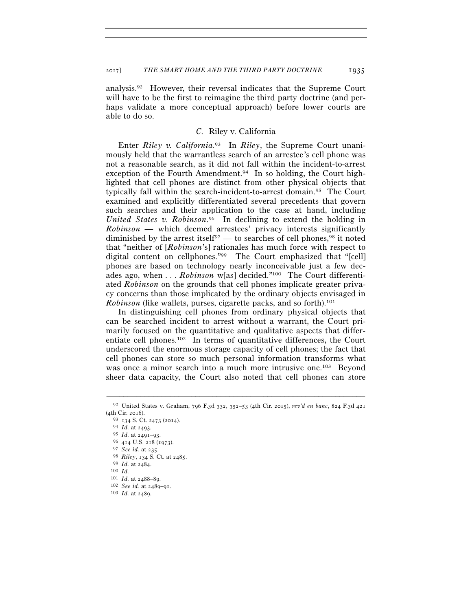analysis.92 However, their reversal indicates that the Supreme Court will have to be the first to reimagine the third party doctrine (and perhaps validate a more conceptual approach) before lower courts are able to do so.

## *C.* Riley v. California

Enter *Riley v. California*. 93 In *Riley*, the Supreme Court unanimously held that the warrantless search of an arrestee's cell phone was not a reasonable search, as it did not fall within the incident-to-arrest exception of the Fourth Amendment.<sup>94</sup> In so holding, the Court highlighted that cell phones are distinct from other physical objects that typically fall within the search-incident-to-arrest domain.95 The Court examined and explicitly differentiated several precedents that govern such searches and their application to the case at hand, including *United States v. Robinson*. 96 In declining to extend the holding in *Robinson* — which deemed arrestees' privacy interests significantly diminished by the arrest itself<sup>97</sup> — to searches of cell phones,<sup>98</sup> it noted that "neither of [*Robinson*'s] rationales has much force with respect to digital content on cellphones."99 The Court emphasized that "[cell] phones are based on technology nearly inconceivable just a few decades ago, when . . . *Robinson* w[as] decided."100 The Court differentiated *Robinson* on the grounds that cell phones implicate greater privacy concerns than those implicated by the ordinary objects envisaged in *Robinson* (like wallets, purses, cigarette packs, and so forth).<sup>101</sup>

In distinguishing cell phones from ordinary physical objects that can be searched incident to arrest without a warrant, the Court primarily focused on the quantitative and qualitative aspects that differentiate cell phones.102 In terms of quantitative differences, the Court underscored the enormous storage capacity of cell phones; the fact that cell phones can store so much personal information transforms what was once a minor search into a much more intrusive one.<sup>103</sup> Beyond sheer data capacity, the Court also noted that cell phones can store

<sup>–––––––––––––––––––––––––––––––––––––––––––––––––––––––––––––</sup> 92 United States v. Graham, 796 F.3d 332, 352–53 (4th Cir. 2015), *rev'd en banc*, 824 F.3d 421 (4th Cir. 2016).

<sup>93</sup> <sup>134</sup> S. Ct. 2473 (2014). 94 *Id.* at 2493. 95 *Id.* at 2491–93. 96 <sup>414</sup> U.S. 218 (1973).

<sup>97</sup> *See id.* at 235. 98 *Riley*, 134 S. Ct. at 2485. 99 *Id.* at 2484. 100 *Id.*<sup>101</sup> *Id.* at 2488–89. 102 *See id.* at 2489–91. 103 *Id.* at 2489.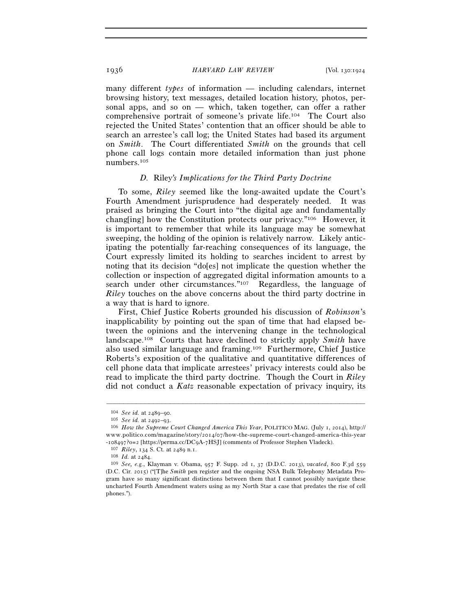many different *types* of information — including calendars, internet browsing history, text messages, detailed location history, photos, personal apps, and so on — which, taken together, can offer a rather comprehensive portrait of someone's private life.104 The Court also rejected the United States' contention that an officer should be able to search an arrestee's call log; the United States had based its argument on *Smith*. The Court differentiated *Smith* on the grounds that cell phone call logs contain more detailed information than just phone numbers.105

### *D.* Riley*'s Implications for the Third Party Doctrine*

To some, *Riley* seemed like the long-awaited update the Court's Fourth Amendment jurisprudence had desperately needed. It was praised as bringing the Court into "the digital age and fundamentally chang[ing] how the Constitution protects our privacy."106 However, it is important to remember that while its language may be somewhat sweeping, the holding of the opinion is relatively narrow. Likely anticipating the potentially far-reaching consequences of its language, the Court expressly limited its holding to searches incident to arrest by noting that its decision "do[es] not implicate the question whether the collection or inspection of aggregated digital information amounts to a search under other circumstances."107 Regardless, the language of *Riley* touches on the above concerns about the third party doctrine in a way that is hard to ignore.

First, Chief Justice Roberts grounded his discussion of *Robinson*'s inapplicability by pointing out the span of time that had elapsed between the opinions and the intervening change in the technological landscape.108 Courts that have declined to strictly apply *Smith* have also used similar language and framing.109 Furthermore, Chief Justice Roberts's exposition of the qualitative and quantitative differences of cell phone data that implicate arrestees' privacy interests could also be read to implicate the third party doctrine. Though the Court in *Riley* did not conduct a *Katz* reasonable expectation of privacy inquiry, its

<sup>&</sup>lt;sup>104</sup> *See id.* at 2489–90.<br><sup>105</sup> *See id.* at 2492–93.<br><sup>106</sup> *How the Supreme Court Changed America This Year*, POLITICO MAG. (July 1, 2014), http:// www.politico.com/magazine/story/2014/07/how-the-supreme-court-changed-america-this-year -108497?0=2 [https://perma.cc/DC9A-7HSJ] (comments of Professor Stephen Vladeck).<br>
<sup>107</sup> *Riley*, 134 S. Ct. at 2489 n.1.<br>
<sup>108</sup> *Id.* at 2484.<br>
<sup>109</sup> *See*, *e.g.*, Klayman v. Obama, 957 F. Supp. 2d 1, 37 (D.D.C. 2013),

<sup>(</sup>D.C. Cir. 2015) ("[T]he *Smith* pen register and the ongoing NSA Bulk Telephony Metadata Program have so many significant distinctions between them that I cannot possibly navigate these uncharted Fourth Amendment waters using as my North Star a case that predates the rise of cell phones.").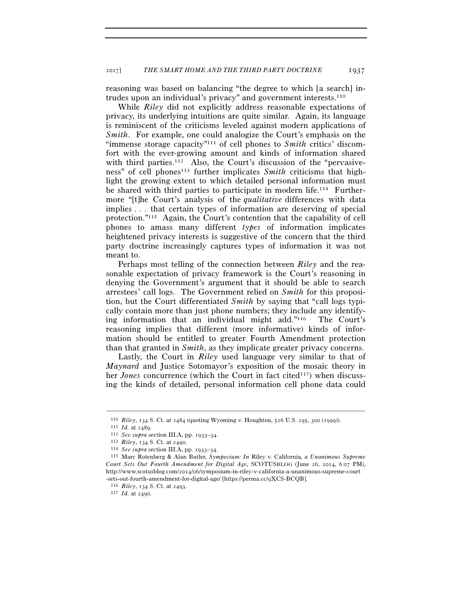reasoning was based on balancing "the degree to which [a search] intrudes upon an individual's privacy" and government interests.110

While *Riley* did not explicitly address reasonable expectations of privacy, its underlying intuitions are quite similar. Again, its language is reminiscent of the criticisms leveled against modern applications of *Smith*. For example, one could analogize the Court's emphasis on the "immense storage capacity"111 of cell phones to *Smith* critics' discomfort with the ever-growing amount and kinds of information shared with third parties.<sup>112</sup> Also, the Court's discussion of the "pervasiveness" of cell phones<sup>113</sup> further implicates *Smith* criticisms that highlight the growing extent to which detailed personal information must be shared with third parties to participate in modern life.<sup>114</sup> Furthermore "[t]he Court's analysis of the *qualitative* differences with data implies . . . that certain types of information are deserving of special protection."115 Again, the Court's contention that the capability of cell phones to amass many different *types* of information implicates heightened privacy interests is suggestive of the concern that the third party doctrine increasingly captures types of information it was not meant to.

Perhaps most telling of the connection between *Riley* and the reasonable expectation of privacy framework is the Court's reasoning in denying the Government's argument that it should be able to search arrestees' call logs. The Government relied on *Smith* for this proposition, but the Court differentiated *Smith* by saying that "call logs typically contain more than just phone numbers; they include any identifying information that an individual might add."116 The Court's reasoning implies that different (more informative) kinds of information should be entitled to greater Fourth Amendment protection than that granted in *Smith*, as they implicate greater privacy concerns.

Lastly, the Court in *Riley* used language very similar to that of *Maynard* and Justice Sotomayor's exposition of the mosaic theory in her *Jones* concurrence (which the Court in fact cited<sup>117</sup>) when discussing the kinds of detailed, personal information cell phone data could

<sup>&</sup>lt;sup>110</sup> *Riley*, 134 S. Ct. at 2484 (quoting Wyoming v. Houghton, 526 U.S. 295, 300 (1999)).<br>
<sup>111</sup> *Id.* at 2489.<br>
<sup>112</sup> *See supra* section III.A, pp. 1933–34.<br>
<sup>113</sup> *Riley*, 134 S. Ct. at 2490.<br>
<sup>114</sup> *See supra* sectio *Court Sets Out Fourth Amendment for Digital Age*, SCOTUSBLOG (June 26, 2014, 6:07 PM), http://www.scotusblog.com/2014/06/symposium-in-riley-v-california-a-unanimous-supreme-court -sets-out-fourth-amendment-for-digital-age/ [https://perma.cc/9XCS-BCQB]. 116 *Riley*, 134 S. Ct. at 2493. 117 *Id.* at 2490.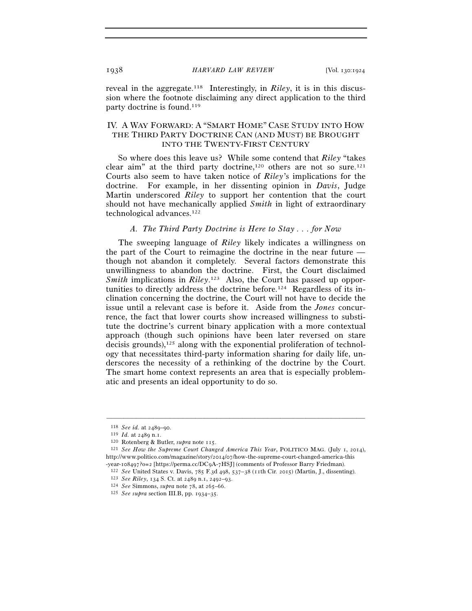reveal in the aggregate.118 Interestingly, in *Riley*, it is in this discussion where the footnote disclaiming any direct application to the third party doctrine is found.<sup>119</sup>

# IV. A WAY FORWARD: A "SMART HOME" CASE STUDY INTO HOW THE THIRD PARTY DOCTRINE CAN (AND MUST) BE BROUGHT INTO THE TWENTY-FIRST CENTURY

So where does this leave us? While some contend that *Riley* "takes clear aim" at the third party doctrine,<sup>120</sup> others are not so sure.<sup>121</sup> Courts also seem to have taken notice of *Riley*'s implications for the doctrine. For example, in her dissenting opinion in *Davis*, Judge Martin underscored *Riley* to support her contention that the court should not have mechanically applied *Smith* in light of extraordinary technological advances.122

# *A. The Third Party Doctrine is Here to Stay . . . for Now*

The sweeping language of *Riley* likely indicates a willingness on the part of the Court to reimagine the doctrine in the near future though not abandon it completely. Several factors demonstrate this unwillingness to abandon the doctrine. First, the Court disclaimed Smith implications in *Riley*.<sup>123</sup> Also, the Court has passed up opportunities to directly address the doctrine before.124 Regardless of its inclination concerning the doctrine, the Court will not have to decide the issue until a relevant case is before it. Aside from the *Jones* concurrence, the fact that lower courts show increased willingness to substitute the doctrine's current binary application with a more contextual approach (though such opinions have been later reversed on stare decisis grounds), $125$  along with the exponential proliferation of technology that necessitates third-party information sharing for daily life, underscores the necessity of a rethinking of the doctrine by the Court. The smart home context represents an area that is especially problematic and presents an ideal opportunity to do so.

<sup>118</sup> *See id.* at 2489–90. 119 *Id.* at 2489 n.1.

<sup>120</sup> Rotenberg & Butler, *supra* note 115.

<sup>121</sup> *See How the Supreme Court Changed America This Year*, POLITICO MAG. (July 1, 2014), http://www.politico.com/magazine/story/2014/07/how-the-supreme-court-changed-america-this

<sup>-</sup>year-108497?0=2 [https://perma.cc/DC9A-7HSJ] (comments of Professor Barry Friedman).<br>
<sup>122</sup> See United States v. Davis, 785 F.3d 498, 537–38 (11th Cir. 2015) (Martin, J., dissenting).<br>
<sup>123</sup> See Riley, 134 S. Ct. at 2489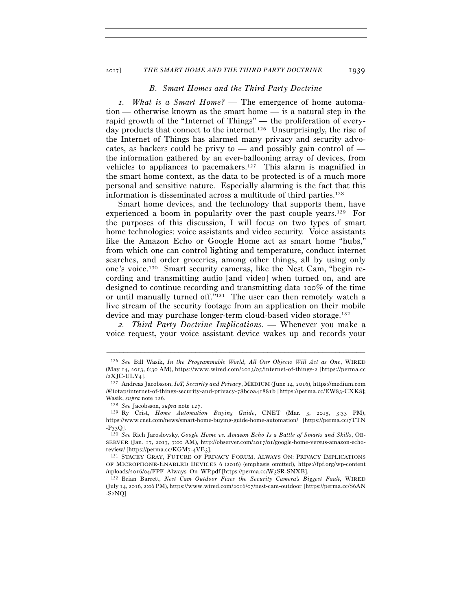#### 2017] *THE SMART HOME AND THE THIRD PARTY DOCTRINE* 1939

### *B. Smart Homes and the Third Party Doctrine*

*1. What is a Smart Home? —* The emergence of home automation — otherwise known as the smart home — is a natural step in the rapid growth of the "Internet of Things" — the proliferation of everyday products that connect to the internet.126 Unsurprisingly, the rise of the Internet of Things has alarmed many privacy and security advocates, as hackers could be privy to — and possibly gain control of the information gathered by an ever-ballooning array of devices, from vehicles to appliances to pacemakers.127 This alarm is magnified in the smart home context, as the data to be protected is of a much more personal and sensitive nature. Especially alarming is the fact that this information is disseminated across a multitude of third parties.128

Smart home devices, and the technology that supports them, have experienced a boom in popularity over the past couple years.129 For the purposes of this discussion, I will focus on two types of smart home technologies: voice assistants and video security. Voice assistants like the Amazon Echo or Google Home act as smart home "hubs," from which one can control lighting and temperature, conduct internet searches, and order groceries, among other things, all by using only one's voice.130 Smart security cameras, like the Nest Cam, "begin recording and transmitting audio [and video] when turned on, and are designed to continue recording and transmitting data 100% of the time or until manually turned off."131 The user can then remotely watch a live stream of the security footage from an application on their mobile device and may purchase longer-term cloud-based video storage.132

*2. Third Party Doctrine Implications. —* Whenever you make a voice request, your voice assistant device wakes up and records your

<sup>126</sup> *See* Bill Wasik, *In the Programmable World, All Our Objects Will Act as One*, WIRED (May  $14$ , 2013, 6:30 AM), https://www.wired.com/2013/05/internet-of-things-2 [https://perma.cc /2 X J C-ULY 4].<br><sup>127</sup> Andreas Jacobsson, *IoT, Security and Privacy*, MEDIUM (June 14, 2016), https://medium.com

<sup>/@</sup>iotap/internet-of-things-security-and-privacy-78bcoa41881b [https://perma.cc/EW83-CXK8]; Wasik, *supra* note 126.<br><sup>128</sup> *See* Jacobsson, *supra* note 127.<br><sup>129</sup> Ry Crist, *Home Automation Buying Guide*, CNET (Mar. 3, 2015, 3:33 PM),

https://www.cnet.com/news/smart-home-buying-guide-home-automation/ [https://perma.cc/7TTN -P33Q]. 130 *See* Rich Jaroslovsky, *Google Home vs. Amazon Echo Is a Battle of Smarts and Skills*, OB-

SERVER (Jan. 17, 2017, 7:00 AM), http://observer.com/2017/01/google-home-versus-amazon-echoreview/ [https://perma.cc/KGM7-4VE3].<br><sup>131</sup> STACEY GRAY, FUTURE OF PRIVACY FORUM, ALWAYS ON: PRIVACY IMPLICATIONS

OF MICROPHONE-ENABLED DEVICES 6 (2016) (emphasis omitted), https://fpf.org/wp-content /uploads/2016/04/FPF\_Always\_On\_WP.pdf [https://perma.cc/W3SR-SNXB]. 132 Brian Barrett, *Nest Cam Outdoor Fixes the Security Camera's Biggest Fault,* WIRED

<sup>(</sup>July 14, 2016, 2:06 PM), https://www.wired.com/2016/07/nest-cam-outdoor [https://perma.cc/S6AN  $-S<sub>2</sub> NQ$ ].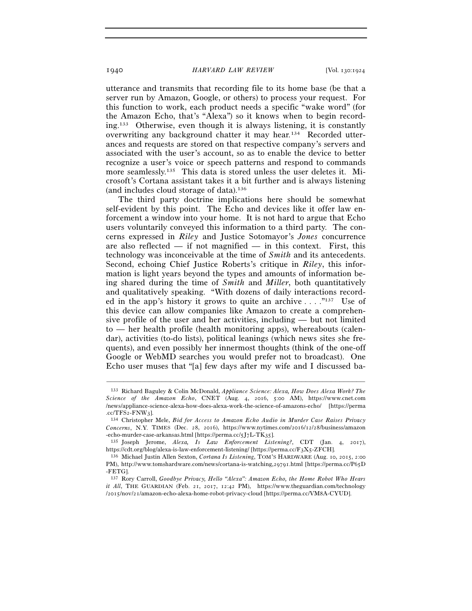utterance and transmits that recording file to its home base (be that a server run by Amazon, Google, or others) to process your request. For this function to work, each product needs a specific "wake word" (for the Amazon Echo, that's "Alexa") so it knows when to begin recording.133 Otherwise, even though it is always listening, it is constantly overwriting any background chatter it may hear.134 Recorded utterances and requests are stored on that respective company's servers and associated with the user's account, so as to enable the device to better recognize a user's voice or speech patterns and respond to commands more seamlessly.<sup>135</sup> This data is stored unless the user deletes it. Microsoft's Cortana assistant takes it a bit further and is always listening (and includes cloud storage of data).136

The third party doctrine implications here should be somewhat self-evident by this point. The Echo and devices like it offer law enforcement a window into your home. It is not hard to argue that Echo users voluntarily conveyed this information to a third party. The concerns expressed in *Riley* and Justice Sotomayor's *Jones* concurrence are also reflected — if not magnified — in this context. First, this technology was inconceivable at the time of *Smith* and its antecedents. Second, echoing Chief Justice Roberts's critique in *Riley*, this information is light years beyond the types and amounts of information being shared during the time of *Smith* and *Miller*, both quantitatively and qualitatively speaking. "With dozens of daily interactions recorded in the app's history it grows to quite an archive  $\dots$ ."<sup>137</sup> Use of this device can allow companies like Amazon to create a comprehensive profile of the user and her activities, including — but not limited to — her health profile (health monitoring apps), whereabouts (calendar), activities (to-do lists), political leanings (which news sites she frequents), and even possibly her innermost thoughts (think of the one-off Google or WebMD searches you would prefer not to broadcast). One Echo user muses that "[a] few days after my wife and I discussed ba-

<sup>133</sup> Richard Baguley & Colin McDonald, *Appliance Science: Alexa, How Does Alexa Work? The Science of the Amazon Echo*, CNET (Aug. 4, 2016, 5:00 AM), https://www.cnet.com /news/appliance-science-alexa-how-does-alexa-work-the-science-of-amazons-echo/ [https://perma .cc/TFS2-FNW3]. 134 Christopher Mele, *Bid for Access to Amazon Echo Audio in Murder Case Raises Privacy* 

*Concerns*, N.Y. TIMES (Dec. 28, 2016), https://www.nytimes.com/2016/12/28/business/amazon -echo-murder-case-arkansas.html [https://perma.cc/5J7L-TK35]. 135 Joseph Jerome, *Alexa, Is Law Enforcement Listening?*, CDT (Jan. 4, 2017),

https://cdt.org/blog/alexa-is-law-enforcement-listening/ [https://perma.cc/F3X5-ZFCH]. 136 Michael Justin Allen Sexton, *Cortana Is Listening*, TOM'S HARDWARE (Aug. 10, 2015, 2:<sup>00</sup>

PM), http://www.tomshardware.com/news/cortana-is-watching,29791.html [https://perma.cc/P65D -FETG].

<sup>137</sup> Rory Carroll, *Goodbye Privacy, Hello "Alexa": Amazon Echo, the Home Robot Who Hears it All*, THE GUARDIAN (Feb. 21, 2017, 12:42 PM), https://www.theguardian.com/technology /2015/nov/21/amazon-echo-alexa-home-robot-privacy-cloud [https://perma.cc/VM8A-CYUD].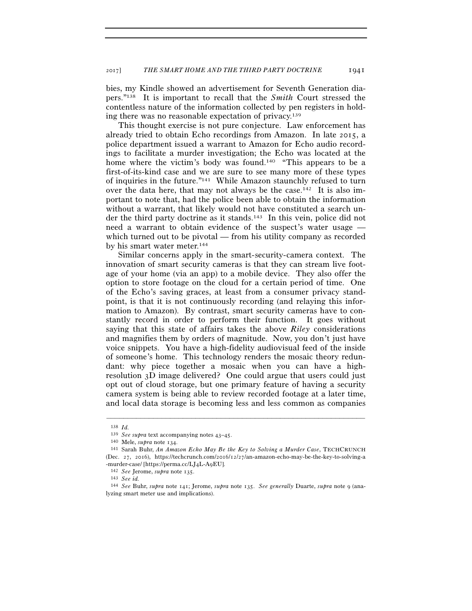bies, my Kindle showed an advertisement for Seventh Generation diapers."138 It is important to recall that the *Smith* Court stressed the contentless nature of the information collected by pen registers in holding there was no reasonable expectation of privacy.139

This thought exercise is not pure conjecture. Law enforcement has already tried to obtain Echo recordings from Amazon. In late 2015, a police department issued a warrant to Amazon for Echo audio recordings to facilitate a murder investigation; the Echo was located at the home where the victim's body was found.<sup>140</sup> "This appears to be a first-of-its-kind case and we are sure to see many more of these types of inquiries in the future."141 While Amazon staunchly refused to turn over the data here, that may not always be the case.142 It is also important to note that, had the police been able to obtain the information without a warrant, that likely would not have constituted a search under the third party doctrine as it stands.143 In this vein, police did not need a warrant to obtain evidence of the suspect's water usage which turned out to be pivotal — from his utility company as recorded by his smart water meter.144

Similar concerns apply in the smart-security-camera context. The innovation of smart security cameras is that they can stream live footage of your home (via an app) to a mobile device. They also offer the option to store footage on the cloud for a certain period of time. One of the Echo's saving graces, at least from a consumer privacy standpoint, is that it is not continuously recording (and relaying this information to Amazon). By contrast, smart security cameras have to constantly record in order to perform their function. It goes without saying that this state of affairs takes the above *Riley* considerations and magnifies them by orders of magnitude. Now, you don't just have voice snippets. You have a high-fidelity audiovisual feed of the inside of someone's home. This technology renders the mosaic theory redundant: why piece together a mosaic when you can have a highresolution 3D image delivered? One could argue that users could just opt out of cloud storage, but one primary feature of having a security camera system is being able to review recorded footage at a later time, and local data storage is becoming less and less common as companies

<sup>&</sup>lt;sup>138</sup> *Id. Phenomenonis 139 See supra* text accompanying notes 43–45.

<sup>&</sup>lt;sup>140</sup> Mele, *supra* note 134.<br><sup>141</sup> Sarah Buhr, *An Amazon Echo May Be the Key to Solving a Murder Case*, TECHCRUNCH (Dec. 27, 2016), https://techcrunch.com/2016/12/27/an-amazon-echo-may-be-the-key-to-solving-a -murder-case/ [https://perma.cc/LJ4L-A9EU]. 142 *See* Jerome, *supra* note 135.

<sup>143</sup> *See id.* 

<sup>144</sup> *See* Buhr, *supra* note 141; Jerome, *supra* note 135. *See generally* Duarte, *supra* note 9 (analyzing smart meter use and implications).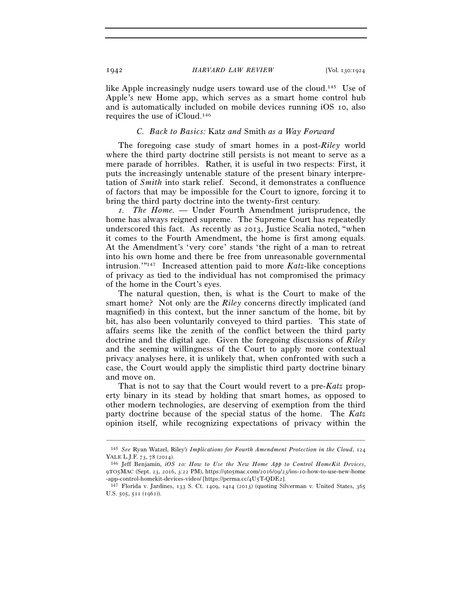like Apple increasingly nudge users toward use of the cloud.145 Use of Apple's new Home app, which serves as a smart home control hub and is automatically included on mobile devices running iOS 10, also requires the use of iCloud.146

### *C. Back to Basics:* Katz *and* Smith *as a Way Forward*

The foregoing case study of smart homes in a post-*Riley* world where the third party doctrine still persists is not meant to serve as a mere parade of horribles. Rather, it is useful in two respects: First, it puts the increasingly untenable stature of the present binary interpretation of *Smith* into stark relief. Second, it demonstrates a confluence of factors that may be impossible for the Court to ignore, forcing it to bring the third party doctrine into the twenty-first century.

*1. The Home. —* Under Fourth Amendment jurisprudence, the home has always reigned supreme. The Supreme Court has repeatedly underscored this fact. As recently as 2013, Justice Scalia noted, "when it comes to the Fourth Amendment, the home is first among equals. At the Amendment's 'very core' stands 'the right of a man to retreat into his own home and there be free from unreasonable governmental intrusion.'"147 Increased attention paid to more *Katz*-like conceptions of privacy as tied to the individual has not compromised the primacy of the home in the Court's eyes.

The natural question, then, is what is the Court to make of the smart home? Not only are the *Riley* concerns directly implicated (and magnified) in this context, but the inner sanctum of the home, bit by bit, has also been voluntarily conveyed to third parties. This state of affairs seems like the zenith of the conflict between the third party doctrine and the digital age. Given the foregoing discussions of *Riley* and the seeming willingness of the Court to apply more contextual privacy analyses here, it is unlikely that, when confronted with such a case, the Court would apply the simplistic third party doctrine binary and move on.

That is not to say that the Court would revert to a pre-*Katz* property binary in its stead by holding that smart homes, as opposed to other modern technologies, are deserving of exemption from the third party doctrine because of the special status of the home. The *Katz* opinion itself, while recognizing expectations of privacy within the

<sup>–––––––––––––––––––––––––––––––––––––––––––––––––––––––––––––</sup> 145 *See* Ryan Watzel, Riley*'s Implications for Fourth Amendment Protection in the Cloud*, 124

<sup>&</sup>lt;sup>146</sup> Jeff Benjamin, *iOS 10: How to Use the New Home App to Control HomeKit Devices*, 9TO5MAC (Sept. 23, 2016, 3:22 PM), https://9to5mac.com/2016/09/23/ios-10-how-to-use-new-home

 $147$  Florida v. Jardines, 133 S. Ct. 1409, 1414 (2013) (quoting Silverman v. United States, 365 U.S. 505, 511 (1961)).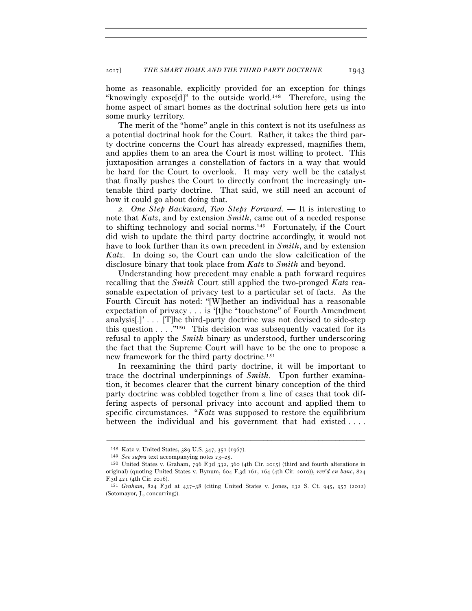home as reasonable, explicitly provided for an exception for things "knowingly expose[d]" to the outside world.148 Therefore, using the home aspect of smart homes as the doctrinal solution here gets us into some murky territory.

The merit of the "home" angle in this context is not its usefulness as a potential doctrinal hook for the Court. Rather, it takes the third party doctrine concerns the Court has already expressed, magnifies them, and applies them to an area the Court is most willing to protect. This juxtaposition arranges a constellation of factors in a way that would be hard for the Court to overlook. It may very well be the catalyst that finally pushes the Court to directly confront the increasingly untenable third party doctrine. That said, we still need an account of how it could go about doing that.

*2. One Step Backward, Two Steps Forward. —* It is interesting to note that *Katz*, and by extension *Smith*, came out of a needed response to shifting technology and social norms.149 Fortunately, if the Court did wish to update the third party doctrine accordingly, it would not have to look further than its own precedent in *Smith*, and by extension *Katz*. In doing so, the Court can undo the slow calcification of the disclosure binary that took place from *Katz* to *Smith* and beyond.

Understanding how precedent may enable a path forward requires recalling that the *Smith* Court still applied the two-pronged *Katz* reasonable expectation of privacy test to a particular set of facts. As the Fourth Circuit has noted: "[W]hether an individual has a reasonable expectation of privacy . . . is '[t]he "touchstone" of Fourth Amendment analysis[.]' . . . [T]he third-party doctrine was not devised to side-step this question  $\dots$  ."<sup>150</sup> This decision was subsequently vacated for its refusal to apply the *Smith* binary as understood, further underscoring the fact that the Supreme Court will have to be the one to propose a new framework for the third party doctrine.151

In reexamining the third party doctrine, it will be important to trace the doctrinal underpinnings of *Smith*. Upon further examination, it becomes clearer that the current binary conception of the third party doctrine was cobbled together from a line of cases that took differing aspects of personal privacy into account and applied them to specific circumstances. "*Katz* was supposed to restore the equilibrium between the individual and his government that had existed . . . .

<sup>148</sup> Katz v. United States, 389 U.S. 347, 351 (1967). 149 *See supra* text accompanying notes 23–25. 150 United States v. Graham, 796 F.3d 332, 360 (4th Cir. 2015) (third and fourth alterations in original) (quoting United States v. Bynum, 604 F.3d 161, 164 (4th Cir. 2010)), *rev'd en banc*, 824

F.3d 421 (4th Cir. 2016). 151 *Graham*, 824 F.3d at 437–38 (citing United States v. Jones, 132 S. Ct. 945, 957 (2012) (Sotomayor, J., concurring)).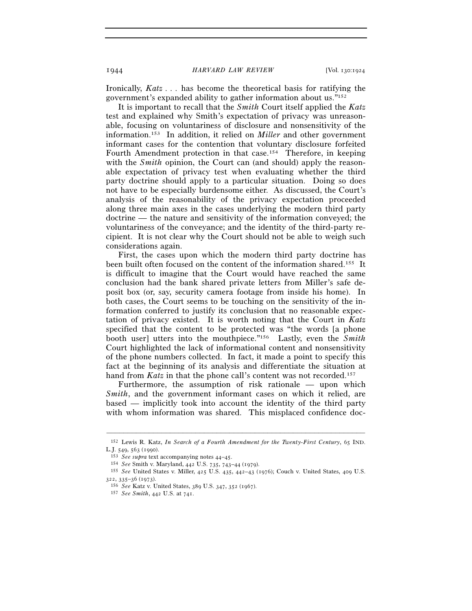Ironically, *Katz* . . . has become the theoretical basis for ratifying the government's expanded ability to gather information about us."152

It is important to recall that the *Smith* Court itself applied the *Katz* test and explained why Smith's expectation of privacy was unreasonable, focusing on voluntariness of disclosure and nonsensitivity of the information.153 In addition, it relied on *Miller* and other government informant cases for the contention that voluntary disclosure forfeited Fourth Amendment protection in that case.154 Therefore, in keeping with the *Smith* opinion, the Court can (and should) apply the reasonable expectation of privacy test when evaluating whether the third party doctrine should apply to a particular situation. Doing so does not have to be especially burdensome either. As discussed, the Court's analysis of the reasonability of the privacy expectation proceeded along three main axes in the cases underlying the modern third party doctrine — the nature and sensitivity of the information conveyed; the voluntariness of the conveyance; and the identity of the third-party recipient. It is not clear why the Court should not be able to weigh such considerations again.

First, the cases upon which the modern third party doctrine has been built often focused on the content of the information shared.155 It is difficult to imagine that the Court would have reached the same conclusion had the bank shared private letters from Miller's safe deposit box (or, say, security camera footage from inside his home). In both cases, the Court seems to be touching on the sensitivity of the information conferred to justify its conclusion that no reasonable expectation of privacy existed. It is worth noting that the Court in *Katz* specified that the content to be protected was "the words [a phone booth user] utters into the mouthpiece."156 Lastly, even the *Smith* Court highlighted the lack of informational content and nonsensitivity of the phone numbers collected. In fact, it made a point to specify this fact at the beginning of its analysis and differentiate the situation at hand from *Katz* in that the phone call's content was not recorded.<sup>157</sup>

Furthermore, the assumption of risk rationale — upon which *Smith*, and the government informant cases on which it relied, are based — implicitly took into account the identity of the third party with whom information was shared. This misplaced confidence doc-

<sup>–––––––––––––––––––––––––––––––––––––––––––––––––––––––––––––</sup> 152 Lewis R. Katz, *In Search of a Fourth Amendment for the Twenty-First Century*, 65 IND.

L.J. 549, 563 (1990).<br>
<sup>153</sup> *See supra* text accompanying notes 44–45.<br>
<sup>154</sup> *See Smith v. Maryland, 442 U.S. 735, 743–44 (1979).*<br>
<sup>155</sup> *See United States v. Miller, 425 U.S. 435, 442–43 (1976); Couch v. United States,* 

<sup>&</sup>lt;sup>156</sup> See Katz v. United States, 389 U.S. 347, 352 (1967).

<sup>157</sup> *See Smith*, 442 U.S. at 741.